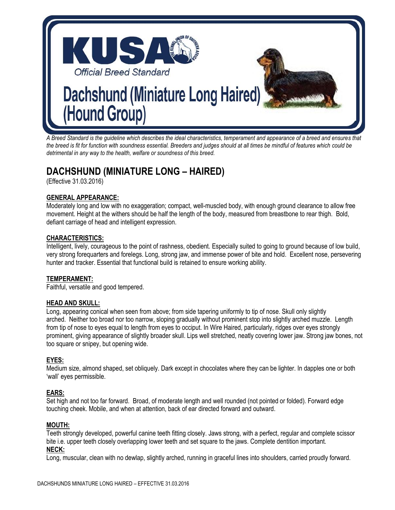

*A Breed Standard is the guideline which describes the ideal characteristics, temperament and appearance of a breed and ensures that the breed is fit for function with soundness essential. Breeders and judges should at all times be mindful of features which could be detrimental in any way to the health, welfare or soundness of this breed.* 

# **DACHSHUND (MINIATURE LONG – HAIRED)**

(Effective 31.03.2016)

# **GENERAL APPEARANCE:**

Moderately long and low with no exaggeration; compact, well-muscled body, with enough ground clearance to allow free movement. Height at the withers should be half the length of the body, measured from breastbone to rear thigh. Bold, defiant carriage of head and intelligent expression.

# **CHARACTERISTICS:**

Intelligent, lively, courageous to the point of rashness, obedient. Especially suited to going to ground because of low build, very strong forequarters and forelegs. Long, strong jaw, and immense power of bite and hold. Excellent nose, persevering hunter and tracker. Essential that functional build is retained to ensure working ability.

# **TEMPERAMENT:**

Faithful, versatile and good tempered.

# **HEAD AND SKULL:**

Long, appearing conical when seen from above; from side tapering uniformly to tip of nose. Skull only slightly arched. Neither too broad nor too narrow, sloping gradually without prominent stop into slightly arched muzzle. Length from tip of nose to eyes equal to length from eyes to occiput. In Wire Haired, particularly, ridges over eyes strongly prominent, giving appearance of slightly broader skull. Lips well stretched, neatly covering lower jaw. Strong jaw bones, not too square or snipey, but opening wide.

# **EYES:**

Medium size, almond shaped, set obliquely. Dark except in chocolates where they can be lighter. In dapples one or both 'wall' eyes permissible.

# **EARS:**

Set high and not too far forward. Broad, of moderate length and well rounded (not pointed or folded). Forward edge touching cheek. Mobile, and when at attention, back of ear directed forward and outward.

# **MOUTH:**

Teeth strongly developed, powerful canine teeth fitting closely. Jaws strong, with a perfect, regular and complete scissor bite i.e. upper teeth closely overlapping lower teeth and set square to the jaws. Complete dentition important. **NECK:**

Long, muscular, clean with no dewlap, slightly arched, running in graceful lines into shoulders, carried proudly forward.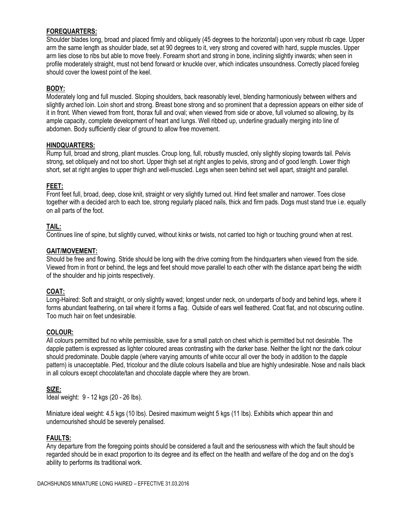## **FOREQUARTERS:**

Shoulder blades long, broad and placed firmly and obliquely (45 degrees to the horizontal) upon very robust rib cage. Upper arm the same length as shoulder blade, set at 90 degrees to it, very strong and covered with hard, supple muscles. Upper arm lies close to ribs but able to move freely. Forearm short and strong in bone, inclining slightly inwards; when seen in profile moderately straight, must not bend forward or knuckle over, which indicates unsoundness. Correctly placed foreleg should cover the lowest point of the keel.

## **BODY:**

Moderately long and full muscled. Sloping shoulders, back reasonably level, blending harmoniously between withers and slightly arched loin. Loin short and strong. Breast bone strong and so prominent that a depression appears on either side of it in front. When viewed from front, thorax full and oval; when viewed from side or above, full volumed so allowing, by its ample capacity, complete development of heart and lungs. Well ribbed up, underline gradually merging into line of abdomen. Body sufficiently clear of ground to allow free movement.

#### **HINDQUARTERS:**

Rump full, broad and strong, pliant muscles. Croup long, full, robustly muscled, only slightly sloping towards tail. Pelvis strong, set obliquely and not too short. Upper thigh set at right angles to pelvis, strong and of good length. Lower thigh short, set at right angles to upper thigh and well-muscled. Legs when seen behind set well apart, straight and parallel.

#### **FEET:**

Front feet full, broad, deep, close knit, straight or very slightly turned out. Hind feet smaller and narrower. Toes close together with a decided arch to each toe, strong regularly placed nails, thick and firm pads. Dogs must stand true i.e. equally on all parts of the foot.

#### **TAIL:**

Continues line of spine, but slightly curved, without kinks or twists, not carried too high or touching ground when at rest.

#### **GAIT/MOVEMENT:**

Should be free and flowing. Stride should be long with the drive coming from the hindquarters when viewed from the side. Viewed from in front or behind, the legs and feet should move parallel to each other with the distance apart being the width of the shoulder and hip joints respectively.

#### **COAT:**

Long-Haired: Soft and straight, or only slightly waved; longest under neck, on underparts of body and behind legs, where it forms abundant feathering, on tail where it forms a flag. Outside of ears well feathered. Coat flat, and not obscuring outline. Too much hair on feet undesirable.

#### **COLOUR:**

All colours permitted but no white permissible, save for a small patch on chest which is permitted but not desirable. The dapple pattern is expressed as lighter coloured areas contrasting with the darker base. Neither the light nor the dark colour should predominate. Double dapple (where varying amounts of white occur all over the body in addition to the dapple pattern) is unacceptable. Pied, tricolour and the dilute colours Isabella and blue are highly undesirable. Nose and nails black in all colours except chocolate/tan and chocolate dapple where they are brown.

#### **SIZE:**

Ideal weight: 9 - 12 kgs (20 - 26 lbs).

Miniature ideal weight: 4.5 kgs (10 lbs). Desired maximum weight 5 kgs (11 lbs). Exhibits which appear thin and undernourished should be severely penalised.

#### **FAULTS:**

Any departure from the foregoing points should be considered a fault and the seriousness with which the fault should be regarded should be in exact proportion to its degree and its effect on the health and welfare of the dog and on the dog's ability to performs its traditional work.